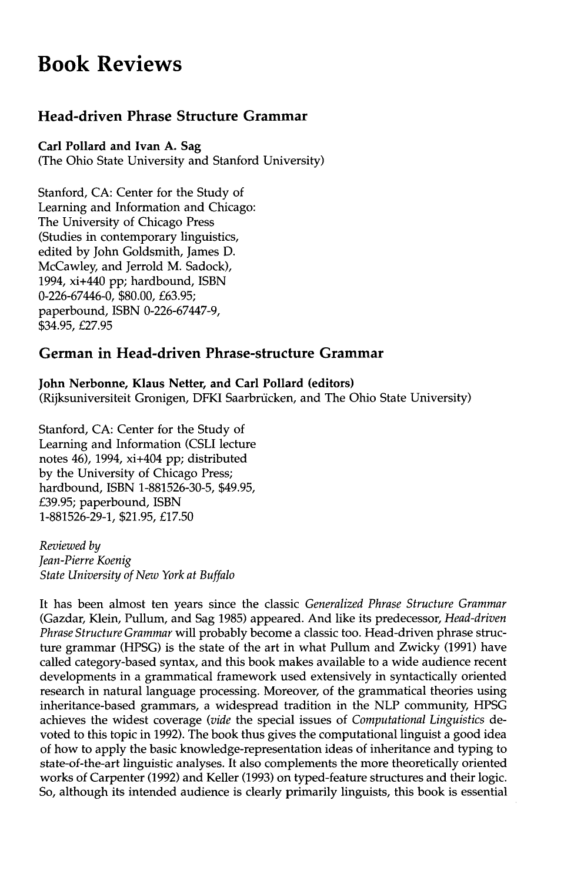# **Book Reviews**

## **Head-driven Phrase Structure Grammar**

### **Carl Pollard and Ivan A. Sag**

(The Ohio State University and Stanford University)

Stanford, CA: Center for the Study of Learning and Information and Chicago: The University of Chicago Press (Studies in contemporary linguistics, edited by John Goldsmith, James D. McCawley, and Jerrold M. Sadock), 1994, xi+440 pp; hardbound, ISBN 0-226-67446-0, \$80.00, £63.95; paperbound, ISBN 0-226-67447-9, \$34.95, £27.95

### **German in Head-driven Phrase-structure Grammar**

**John Nerbonne, Klaus Netter, and Carl Pollard (editors)**  (Rijksuniversiteit Gronigen, DFKI Saarbrücken, and The Ohio State University)

Stanford, CA: Center for the Study of Learning and Information (CSLI lecture notes 46), 1994, xi+404 pp; distributed by the University of Chicago Press; hardbound, ISBN 1-881526-30-5, \$49.95, £39.95; paperbound, ISBN 1-881526-29-1, \$21.95, £17.50

*Reviewed by Jean-Pierre Koenig State University of New York at Buffalo* 

It has been almost ten years since the classic *Generalized Phrase Structure Grammar*  (Gazdar, Klein, Pullum, and Sag 1985) appeared. And like its predecessor, *Head-driven Phrase Structure Grammar* will probably become a classic too. Head-driven phrase structure grammar (HPSG) is the state of the art in what Pullum and Zwicky (1991) have called category-based syntax, and this book makes available to a wide audience recent developments in a grammatical framework used extensively in syntactically oriented research in natural language processing. Moreover, of the grammatical theories using inheritance-based grammars, a widespread tradition in the NLP community, HPSG achieves the widest coverage *(vide* the special issues of *Computational Linguistics* devoted to this topic in 1992). The book thus gives the computational linguist a good idea of how to apply the basic knowledge-representation ideas of inheritance and typing to state-of-the-art linguistic analyses. It also complements the more theoretically oriented works of Carpenter (1992) and Keller (1993) on typed-feature structures and their logic. So, although its intended audience is clearly primarily linguists, this book is essential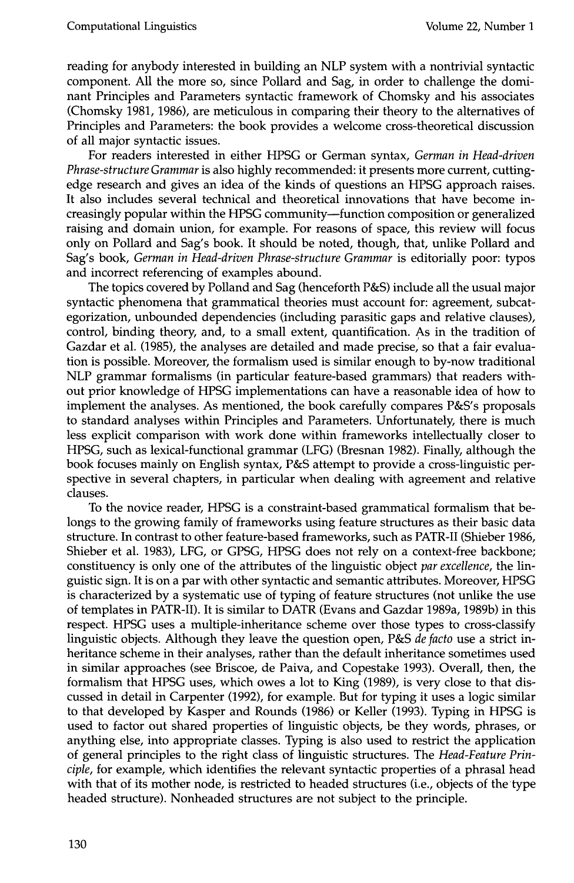reading for anybody interested in building an NLP system with a nontrivial syntactic component. All the more so, since Pollard and Sag, in order to challenge the dominant Principles and Parameters syntactic framework of Chomsky and his associates (Chomsky 1981, 1986), are meticulous in comparing their theory to the alternatives of Principles and Parameters: the book provides a welcome cross-theoretical discussion of all major syntactic issues.

For readers interested in either HPSG or German syntax, *German in Head-driven Phrase-structure Grammar* is also highly recommended: it presents more current, cuttingedge research and gives an idea of the kinds of questions an HPSG approach raises. It also includes several technical and theoretical innovations that have become increasingly popular within the HPSG community--function composition or generalized raising and domain union, for example. For reasons of space, this review will focus only on Pollard and Sag's book. It should be noted, though, that, unlike Pollard and Sag's book, *German in Head-driven Phrase-structure Grammar* is editorially poor: typos and incorrect referencing of examples abound.

The topics covered by Polland and Sag (henceforth P&S) include all the usual major syntactic phenomena that grammatical theories must account for: agreement, subcategorization, unbounded dependencies (including parasitic gaps and relative clauses), control, binding theory, and, to a small extent, quantification. As in the tradition of Gazdar et al. (1985), the analyses are detailed and made precise, so that a fair evaluation is possible. Moreover, the formalism used is similar enough to by-now traditional NLP grammar formalisms (in particular feature-based grammars) that readers without prior knowledge of HPSG implementations can have a reasonable idea of how to implement the analyses. As mentioned, the book carefully compares P&S's proposals to standard analyses within Principles and Parameters. Unfortunately, there is much less explicit comparison with work done within frameworks intellectually closer to HPSG, such as lexical-functional grammar (LFG) (Bresnan 1982). Finally, although the book focuses mainly on English syntax, P&S attempt to provide a cross-linguistic perspective in several chapters, in particular when dealing with agreement and relative clauses.

To the novice reader, HPSG is a constraint-based grammatical formalism that belongs to the growing family of frameworks using feature structures as their basic data structure. In contrast to other feature-based frameworks, such as PATR-II (Shieber 1986, Shieber et al. 1983), LFG, or GPSG, HPSG does not rely on a context-free backbone; constituency is only one of the attributes of the linguistic object *par excellence,* the linguistic sign. It is on a par with other syntactic and semantic attributes. Moreover, HPSG is characterized by a systematic use of typing of feature structures (not unlike the use of templates in PATR-II). It is similar to DATR (Evans and Gazdar 1989a, 1989b) in this respect. HPSG uses a multiple-inheritance scheme over those types to cross-classify linguistic objects. Although they leave the question open, P&S *de facto* use a strict inheritance scheme in their analyses, rather than the default inheritance sometimes used in similar approaches (see Briscoe, de Paiva, and Copestake 1993). Overall, then, the formalism that HPSG uses, which owes a lot to King (1989), is very close to that discussed in detail in Carpenter (1992), for example. But for typing it uses a logic similar to that developed by Kasper and Rounds (1986) or Keller (1993). Typing in HPSG is used to factor out shared properties of linguistic objects, be they words, phrases, or anything else, into appropriate classes. Typing is also used to restrict the application of general principles to the right class of linguistic structures. The *Head-Feature Principle,* for example, which identifies the relevant syntactic properties of a phrasal head with that of its mother node, is restricted to headed structures (i.e., objects of the type headed structure). Nonheaded structures are not subject to the principle.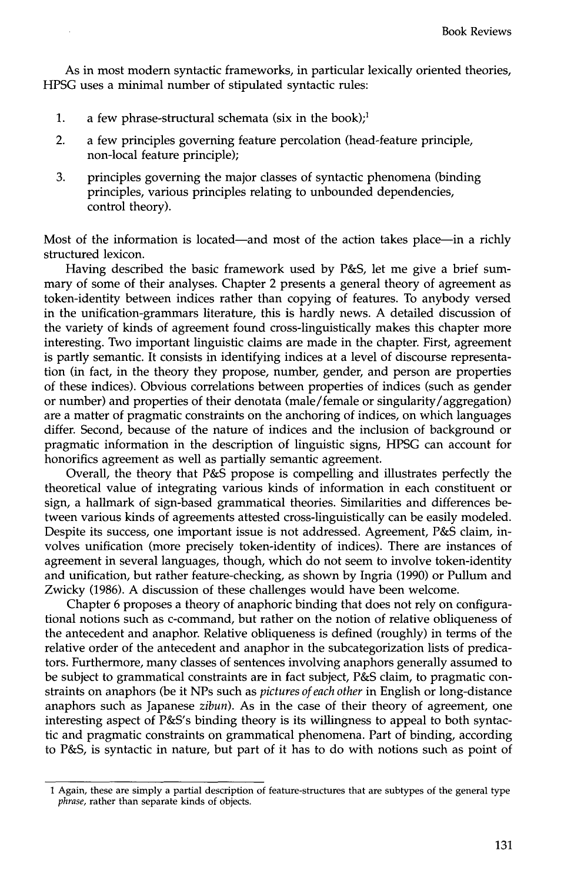As in most modern syntactic frameworks, in particular lexically oriented theories, HPSG uses a minimal number of stipulated syntactic rules:

- . a few phrase-structural schemata (six in the book);<sup>1</sup>
- 2. a few principles governing feature percolation (head-feature principle, non-local feature principle);
- 3. principles governing the major classes of syntactic phenomena (binding principles, various principles relating to unbounded dependencies, control theory).

Most of the information is located—and most of the action takes place—in a richly structured lexicon.

Having described the basic framework used by P&S, let me give a brief summary of some of their analyses. Chapter 2 presents a general theory of agreement as token-identity between indices rather than copying of features. To anybody versed in the unification-grammars literature, this is hardly news. A detailed discussion of the variety of kinds of agreement found cross-linguistically makes this chapter more interesting. Two important linguistic claims are made in the chapter. First, agreement is partly semantic. It consists in identifying indices at a level of discourse representation (in fact, in the theory they propose, number, gender, and person are properties of these indices). Obvious correlations between properties of indices (such as gender or number) and properties of their denotata (male/female or singularity/aggregation) are a matter of pragmatic constraints on the anchoring of indices, on which languages differ. Second, because of the nature of indices and the inclusion of background or pragmatic information in the description of linguistic signs, HPSG can account for honorifics agreement as well as partially semantic agreement.

Overall, the theory that P&S propose is compelling and illustrates perfectly the theoretical value of integrating various kinds of information in each constituent or sign, a hallmark of sign-based grammatical theories. Similarities and differences between various kinds of agreements attested cross-linguistically can be easily modeled. Despite its success, one important issue is not addressed. Agreement, P&S claim, involves unification (more precisely token-identity of indices). There are instances of agreement in several languages, though, which do not seem to involve token-identity and unification, but rather feature-checking, as shown by Ingria (1990) or Pullum and Zwicky (1986). A discussion of these challenges would have been welcome.

Chapter 6 proposes a theory of anaphoric binding that does not rely on configurational notions such as c-command, but rather on the notion of relative obliqueness of the antecedent and anaphor. Relative obliqueness is defined (roughly) in terms of the relative order of the antecedent and anaphor in the subcategorization lists of predicators. Furthermore, many classes of sentences involving anaphors generally assumed to be subject to grammatical constraints are in fact subject, P&S claim, to pragmatic constraints on anaphors (be it NPs such as *pictures of each other* in English or long-distance anaphors such as Japanese *zibun).* As in the case of their theory of agreement, one interesting aspect of P&S's binding theory is its willingness to appeal to both syntactic and pragmatic constraints on grammatical phenomena. Part of binding, according to P&S, is syntactic in nature, but part of it has to do with notions such as point of

<sup>1</sup> Again, these are simply a partial description of feature-structures that are subtypes of the general type *phrase,* rather than separate kinds of objects.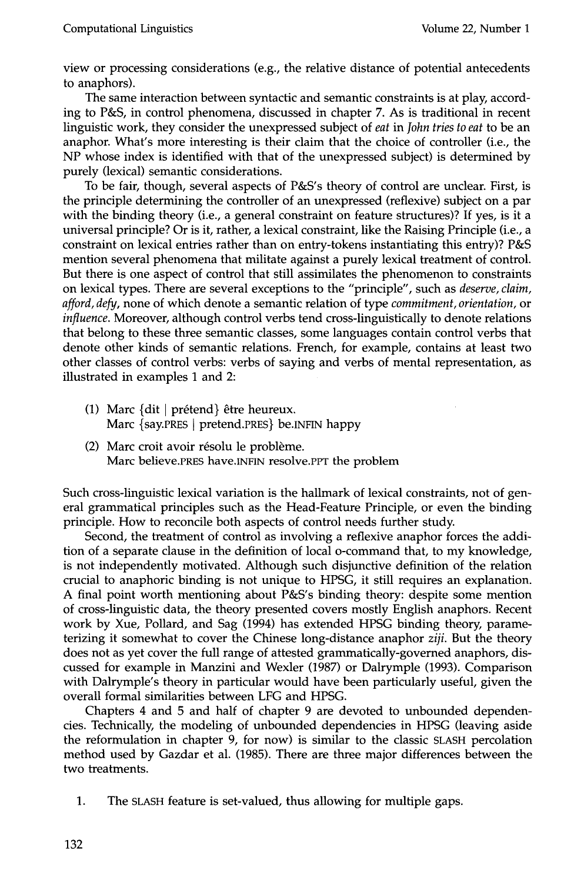view or processing considerations (e.g., the relative distance of potential antecedents to anaphors).

The same interaction between syntactic and semantic constraints is at play, according to P&S, in control phenomena, discussed in chapter 7. As is traditional in recent linguistic work, they consider the unexpressed subject of *eat* in *John tries to eat* to be an anaphor. What's more interesting is their claim that the choice of controller (i.e., the NP whose index is identified with that of the unexpressed subject) is determined by purely (lexical) semantic considerations.

To be fair, though, several aspects of P&S's theory of control are unclear. First, is the principle determining the controller of an unexpressed (reflexive) subject on a par with the binding theory (i.e., a general constraint on feature structures)? If yes, is it a universal principle? Or is it, rather, a lexical constraint, like the Raising Principle (i.e., a constraint on lexical entries rather than on entry-tokens instantiating this entry)? P&S mention several phenomena that militate against a purely lexical treatment of control. But there is one aspect of control that still assimilates the phenomenon to constraints on lexical types. There are several exceptions to the "principle", such as *deserve, claim, afford, defy,* none of which denote a semantic relation of type *commitment, orientation,* or *influence.* Moreover, although control verbs tend cross-linguistically to denote relations that belong to these three semantic classes, some languages contain control verbs that denote other kinds of semantic relations. French, for example, contains at least two other classes of control verbs: verbs of saying and verbs of mental representation, as illustrated in examples 1 and 2:

- (1) Marc  $\{$ dit  $\mid$  prétend $\}$  être heureux. Marc {say.PRES ] pretend.PRES} be.INFIN happy
- (2) Marc croit avoir résolu le problème. Marc believe.PRES have.INFIN resolve.PPT the problem

Such cross-linguistic lexical variation is the hallmark of lexical constraints, not of general grammatical principles such as the Head-Feature Principle, or even the binding principle. How to reconcile both aspects of control needs further study.

Second, the treatment of control as involving a reflexive anaphor forces the addition of a separate clause in the definition of local o-command that, to my knowledge, is not independently motivated. Although such disjunctive definition of the relation crucial to anaphoric binding is not unique to HPSG, it still requires an explanation. A final point worth mentioning about P&S's binding theory: despite some mention of cross-linguistic data, the theory presented covers mostly English anaphors. Recent work by Xue, Pollard, and Sag (1994) has extended HPSG binding theory, parameterizing it somewhat to cover the Chinese long-distance anaphor *ziji.* But the theory does not as yet cover the full range of attested grammatically-governed anaphors, discussed for example in Manzini and Wexler (1987) or Dalrymple (1993). Comparison with Dalrymple's theory in particular would have been particularly useful, given the overall formal similarities between LFG and HPSG.

Chapters 4 and 5 and half of chapter 9 are devoted to unbounded dependencies. Technically, the modeling of unbounded dependencies in HPSG (leaving aside the reformulation in chapter 9, for now) is similar to the classic SLASH percolation method used by Gazdar et al. (1985). There are three major differences between the two treatments.

1. The SLASH feature is set-valued, thus allowing for multiple gaps.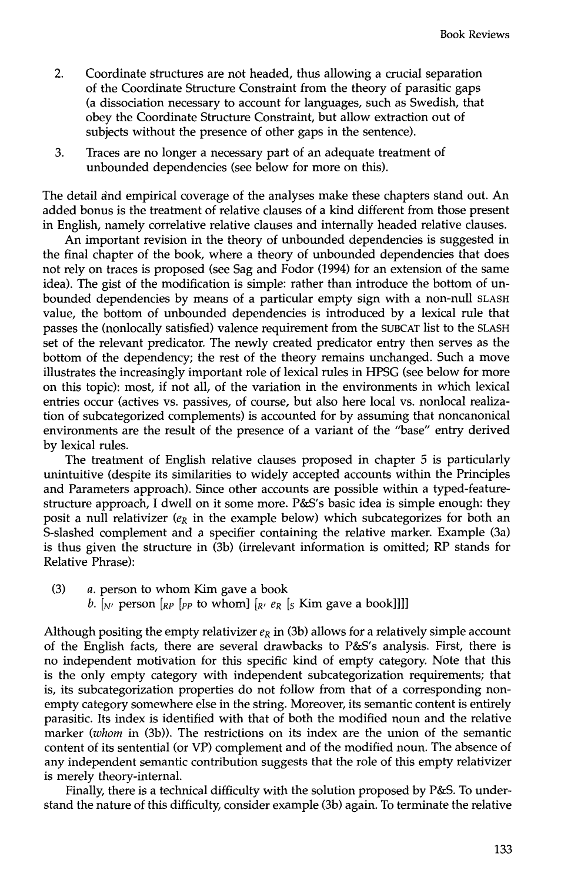- 2. Coordinate structures are not headed, thus allowing a crucial separation of the Coordinate Structure Constraint from the theory of parasitic gaps (a dissociation necessary to account for languages, such as Swedish, that obey the Coordinate Structure Constraint, but allow extraction out of subjects without the presence of other gaps in the sentence).
- . Traces are no longer a necessary part of an adequate treatment of unbounded dependencies (see below for more on this).

The detail and empirical coverage of the analyses make these chapters stand out. An added bonus is the treatment of relative clauses of a kind different from those present in English, namely correlative relative clauses and internally headed relative clauses.

An important revision in the theory of unbounded dependencies is suggested in the final chapter of the book, where a theory of unbounded dependencies that does not rely on traces is proposed (see Sag and Fodor (1994) for an extension of the same idea). The gist of the modification is simple: rather than introduce the bottom of unbounded dependencies by means of a particular empty sign with a non-null SLASH value, the bottom of unbounded dependencies is introduced by a lexical rule that passes the (nonlocally satisfied) valence requirement from the SUBCAT list to the SLASH set of the relevant predicator. The newly created predicator entry then serves as the bottom of the dependency; the rest of the theory remains unchanged. Such a move illustrates the increasingly important role of lexical rules in HPSG (see below for more on this topic): most, if not all, of the variation in the environments in which lexical entries occur (actives vs. passives, of course, but also here local vs. nonlocal realization of subcategorized complements) is accounted for by assuming that noncanonical environments are the result of the presence of a variant of the "base" entry derived by lexical rules.

The treatment of English relative clauses proposed in chapter 5 is particularly unintuitive (despite its similarities to widely accepted accounts within the Principles and Parameters approach). Since other accounts are possible within a typed-featurestructure approach, I dwell on it some more. P&S's basic idea is simple enough: they posit a null relativizer ( $e_R$  in the example below) which subcategorizes for both an S-slashed complement and a specifier containing the relative marker. Example (3a) is thus given the structure in (3b) (irrelevant information is omitted; RP stands for Relative Phrase):

Although positing the empty relativizer  $e_R$  in (3b) allows for a relatively simple account of the English facts, there are several drawbacks to P&S's analysis. First, there is no independent motivation for this specific kind of empty category. Note that this is the only empty category with independent subcategorization requirements; that is, its subcategorization properties do not follow from that of a corresponding nonempty category somewhere else in the string. Moreover, its semantic content is entirely parasitic. Its index is identified with that of both the modified noun and the relative marker *(whom* in (3b)). The restrictions on its index are the union of the semantic content of its sentential (or VP) complement and of the modified noun. The absence of any independent semantic contribution suggests that the role of this empty relativizer is merely theory-internal.

Finally, there is a technical difficulty with the solution proposed by P&S. To understand the nature of this difficulty, consider example (3b) again. To terminate the relative

<sup>(3)</sup>  $a.$  person to whom Kim gave a book b.  $\left[\begin{array}{c}b\end{array}\right]$  person  $\left[\begin{array}{c}b\end{array}\right]$   $\left[\begin{array}{c}b\end{array}\right]$  to whom]  $\left[\begin{array}{c}k'\end{array}\right]$   $\left[\begin{array}{c}k'\end{array}\right]$   $\left[\begin{array}{c}k'\end{array}\right]$   $\left[\begin{array}{c}k'\end{array}\right]$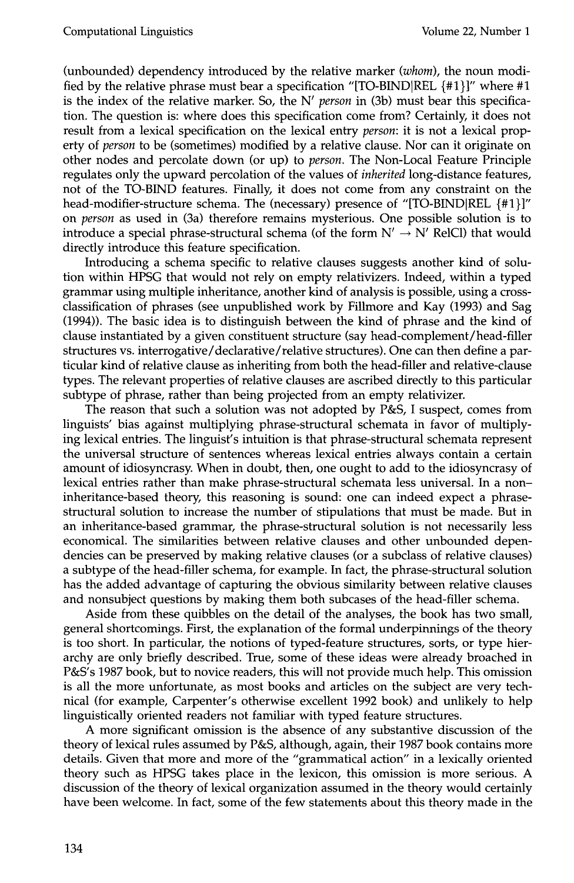(unbounded) dependency introduced by the relative marker *(whom),* the noun modified by the relative phrase must bear a specification "[TO-BIND|REL  $\{\#1\}$ ]" where  $\#1$ is the index of the relative marker. So, the N' *person* in (3b) must bear this specification. The question is: where does this specification come from? Certainly, it does not result from a lexical specification on the lexical entry *person:* it is not a lexical property of *person* to be (sometimes) modified by a relative clause. Nor can it originate on other nodes and percolate down (or up) to *person.* The Non-Local Feature Principle regulates only the upward percolation of the values of *inherited* long-distance features, not of the TO-BIND features. Finally, it does not come from any constraint on the head-modifier-structure schema. The (necessary) presence of "[TO-BIND|REL {#1}]" on *person* as used in (3a) therefore remains mysterious. One possible solution is to introduce a special phrase-structural schema (of the form  $N' \rightarrow N'$  RelCl) that would directly introduce this feature specification.

Introducing a schema specific to relative clauses suggests another kind of solution within HPSG that would not rely on empty relativizers. Indeed, within a typed grammar using multiple inheritance, another kind of analysis is possible, using a crossclassification of phrases (see unpublished work by Fillmore and Kay (1993) and Sag (1994)). The basic idea is to distinguish between the kind of phrase and the kind of clause instantiated by a given constituent structure (say head-complement/head-filler structures vs. interrogative/declarative/relative structures). One can then define a particular kind of relative clause as inheriting from both the head-filler and relative-clause types. The relevant properties of relative clauses are ascribed directly to this particular subtype of phrase, rather than being projected from an empty relativizer.

The reason that such a solution was not adopted by P&S, I suspect, comes from linguists' bias against multiplying phrase-structural schemata in favor of multiplying lexical entries. The linguist's intuition is that phrase-structural schemata represent the universal structure of sentences whereas lexical entries always contain a certain amount of idiosyncrasy. When in doubt, then, one ought to add to the idiosyncrasy of lexical entries rather than make phrase-structural schemata less universal. In a noninheritance-based theory, this reasoning is sound: one can indeed expect a phrasestructural solution to increase the number of stipulations that must be made. But in an inheritance-based grammar, the phrase-structural solution is not necessarily less economical. The similarities between relative clauses and other unbounded dependencies can be preserved by making relative clauses (or a subclass of relative clauses) a subtype of the head-filler schema, for example. In fact, the phrase-structural solution has the added advantage of capturing the obvious similarity between relative clauses and nonsubject questions by making them both subcases of the head-filler schema.

Aside from these quibbles on the detail of the analyses, the book has two small, general shortcomings. First, the explanation of the formal underpinnings of the theory is too short. In particular, the notions of typed-feature structures, sorts, or type hierarchy are only briefly described. True, some of these ideas were already broached in P&S's 1987 book, but to novice readers, this will not provide much help. This omission is all the more unfortunate, as most books and articles on the subject are very technical (for example, Carpenter's otherwise excellent 1992 book) and unlikely to help linguistically oriented readers not familiar with typed feature structures.

A more significant omission is the absence of any substantive discussion of the theory of lexical rules assumed by P&S, although, again, their 1987 book contains more details. Given that more and more of the "grammatical action" in a lexically oriented theory such as HPSG takes place in the lexicon, this omission is more serious. A discussion of the theory of lexical organization assumed in the theory would certainly have been welcome. In fact, some of the few statements about this theory made in the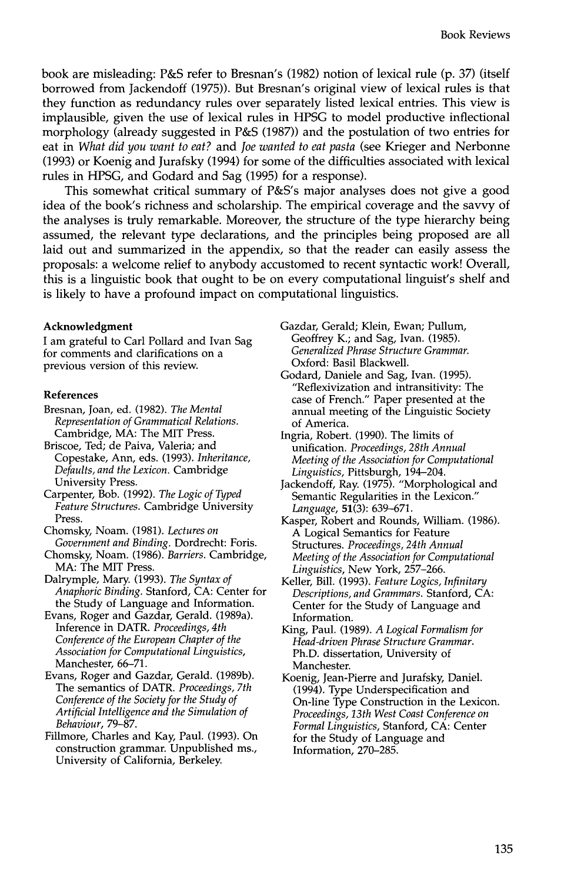book are misleading: P&S refer to Bresnan's (1982) notion of lexical rule (p. 37) (itself borrowed from Jackendoff (1975)). But Bresnan's original view of lexical rules is that they function as redundancy rules over separately listed lexical entries. This view is implausible, given the use of lexical rules in HPSG to model productive inflectional morphology (already suggested in P&S (1987)) and the postulation of two entries for eat in *What did you want to eat?* and *Joe wanted to eat pasta* (see Krieger and Nerbonne (1993) or Koenig and Jurafsky (1994) for some of the difficulties associated with lexical rules in HPSG, and Godard and Sag (1995) for a response).

This somewhat critical summary of P&S's major analyses does not give a good idea of the book's richness and scholarship. The empirical coverage and the savvy of the analyses is truly remarkable. Moreover, the structure of the type hierarchy being assumed, the relevant type declarations, and the principles being proposed are all laid out and summarized in the appendix, so that the reader can easily assess the proposals: a welcome relief to anybody accustomed to recent syntactic work! Overall, this is a linguistic book that ought to be on every computational linguist's shelf and is likely to have a profound impact on computational linguistics.

#### **Acknowledgment**

I am grateful to Carl Pollard and Ivan Sag for comments and clarifications on a previous version of this review.

#### **References**

- Bresnan, Joan, ed. (1982). *The Mental Representation of Grammatical Relations.*  Cambridge, MA: The MIT Press.
- Briscoe, Ted; de Paiva, Valeria; and Copestake, Ann, eds. (1993). *Inheritance, Defaults, and the Lexicon.* Cambridge University Press.
- Carpenter, Bob. (1992). *The Logic of Typed Feature Structures.* Cambridge University Press.
- Chomsky, Noam. (1981). *Lectures on Government and Binding.* Dordrecht: Foris.
- Chomsky, Noam. (1986). *Barriers.* Cambridge, MA: The MIT Press.
- Dalrymple, Mary. (1993). *The Syntax of Anaphoric Binding.* Stanford, CA: Center for the Study of Language and Information.
- Evans, Roger and Gazdar, Gerald. (1989a). Inference in DATR. *Proceedings, 4th Conference of the European Chapter of the Association for Computational Linguistics,*  Manchester, 66-71.
- Evans, Roger and Gazdar, Gerald. (1989b). The semantics of DATR. *Proceedings, 7th Conference of the Society for the Study of Artificial Intelligence and the Simulation of Behaviour,* 79--87.
- Fillmore, Charles and Kay, Paul. (1993). On construction grammar. Unpublished ms., University of California, Berkeley.
- Gazdar, Gerald; Klein, Ewan; Pullum, Geoffrey K.; and Sag, Ivan. (1985). *Generalized Phrase Structure Grammar.*  Oxford: Basil Blackwell.
- Godard, Daniele and Sag, Ivan. (1995). "Reflexivization and intransitivity: The case of French." Paper presented at the annual meeting of the Linguistic Society of America.
- Ingria, Robert. (1990). The limits of unification. *Proceedings, 28th Annual Meeting of the Association for Computational Linguistics,* Pittsburgh, 194-204.
- Jackendoff, Ray. (1975). "Morphological and Semantic Regularities in the Lexicon." *Language,* 51(3): 639-671.
- Kasper, Robert and Rounds, William. (1986). A Logical Semantics for Feature Structures. *Proceedings, 24th Annual Meeting of the Association for Computational Linguistics,* New York, 257-266.
- Keller, Bill. (1993). *Feature Logics, Infinitary Descriptions, and Grammars.* Stanford, CA: Center for the Study of Language and Information.
- King, Paul. (1989). *A Logical Formalism for Head-driven Phrase Structure Grammar.*  Ph.D. dissertation, University of Manchester.
- Koenig, Jean-Pierre and Jurafsky, Daniel. (1994). Type Underspecification and On-line Type Construction in the Lexicon. *Proceedings, 13th West Coast Conference on Formal Linguistics,* Stanford, CA: Center for the Study of Language and Information, 270-285.